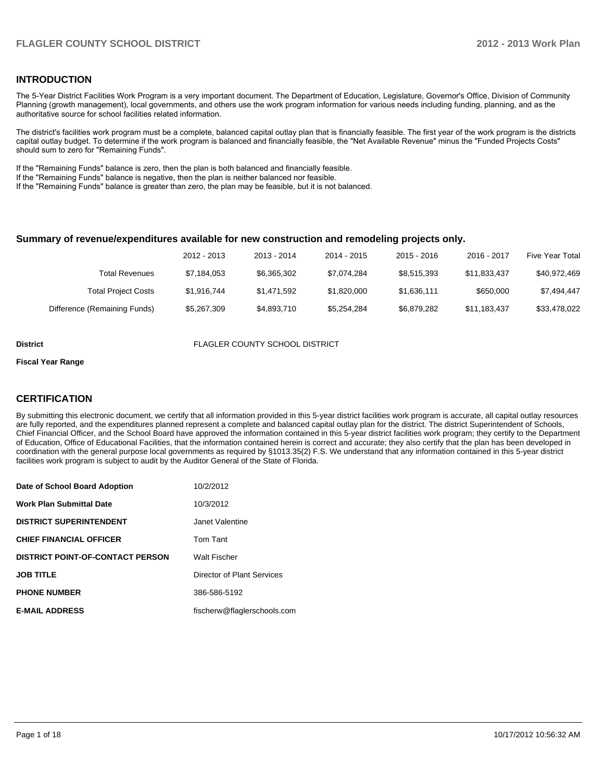#### **INTRODUCTION**

The 5-Year District Facilities Work Program is a very important document. The Department of Education, Legislature, Governor's Office, Division of Community Planning (growth management), local governments, and others use the work program information for various needs including funding, planning, and as the authoritative source for school facilities related information.

The district's facilities work program must be a complete, balanced capital outlay plan that is financially feasible. The first year of the work program is the districts capital outlay budget. To determine if the work program is balanced and financially feasible, the "Net Available Revenue" minus the "Funded Projects Costs" should sum to zero for "Remaining Funds".

If the "Remaining Funds" balance is zero, then the plan is both balanced and financially feasible.

If the "Remaining Funds" balance is negative, then the plan is neither balanced nor feasible.

If the "Remaining Funds" balance is greater than zero, the plan may be feasible, but it is not balanced.

#### **Summary of revenue/expenditures available for new construction and remodeling projects only.**

|                              | 2012 - 2013 | 2013 - 2014 | 2014 - 2015 | $2015 - 2016$ | 2016 - 2017  | <b>Five Year Total</b> |
|------------------------------|-------------|-------------|-------------|---------------|--------------|------------------------|
| <b>Total Revenues</b>        | \$7,184,053 | \$6.365.302 | \$7.074.284 | \$8,515,393   | \$11.833.437 | \$40,972,469           |
| <b>Total Project Costs</b>   | \$1,916,744 | \$1,471,592 | \$1,820,000 | \$1,636,111   | \$650,000    | \$7.494.447            |
| Difference (Remaining Funds) | \$5,267,309 | \$4,893,710 | \$5.254.284 | \$6,879,282   | \$11,183,437 | \$33,478,022           |

**District** FLAGLER COUNTY SCHOOL DISTRICT

#### **Fiscal Year Range**

### **CERTIFICATION**

By submitting this electronic document, we certify that all information provided in this 5-year district facilities work program is accurate, all capital outlay resources are fully reported, and the expenditures planned represent a complete and balanced capital outlay plan for the district. The district Superintendent of Schools, Chief Financial Officer, and the School Board have approved the information contained in this 5-year district facilities work program; they certify to the Department of Education, Office of Educational Facilities, that the information contained herein is correct and accurate; they also certify that the plan has been developed in coordination with the general purpose local governments as required by §1013.35(2) F.S. We understand that any information contained in this 5-year district facilities work program is subject to audit by the Auditor General of the State of Florida.

| Date of School Board Adoption           | 10/2/2012                   |
|-----------------------------------------|-----------------------------|
| <b>Work Plan Submittal Date</b>         | 10/3/2012                   |
| <b>DISTRICT SUPERINTENDENT</b>          | Janet Valentine             |
| <b>CHIEF FINANCIAL OFFICER</b>          | Tom Tant                    |
| <b>DISTRICT POINT-OF-CONTACT PERSON</b> | <b>Walt Fischer</b>         |
| <b>JOB TITLE</b>                        | Director of Plant Services  |
| <b>PHONE NUMBER</b>                     | 386-586-5192                |
| <b>E-MAIL ADDRESS</b>                   | fischerw@flaglerschools.com |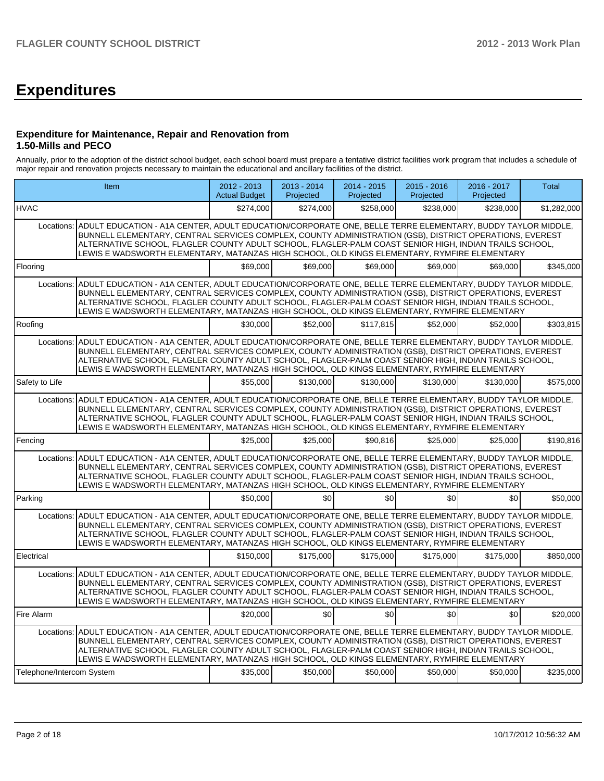# **Expenditures**

#### **Expenditure for Maintenance, Repair and Renovation from 1.50-Mills and PECO**

Annually, prior to the adoption of the district school budget, each school board must prepare a tentative district facilities work program that includes a schedule of major repair and renovation projects necessary to maintain the educational and ancillary facilities of the district.

|                           | Item                                                                                                                                                                                                                                                                                                                                                                                                                                      |           | $2013 - 2014$<br>Projected | $2014 - 2015$<br>Projected | $2015 - 2016$<br>Projected | 2016 - 2017<br>Projected | <b>Total</b> |
|---------------------------|-------------------------------------------------------------------------------------------------------------------------------------------------------------------------------------------------------------------------------------------------------------------------------------------------------------------------------------------------------------------------------------------------------------------------------------------|-----------|----------------------------|----------------------------|----------------------------|--------------------------|--------------|
| <b>HVAC</b>               |                                                                                                                                                                                                                                                                                                                                                                                                                                           | \$274,000 | \$274,000                  | \$258,000                  | \$238,000                  | \$238,000                | \$1,282,000  |
| Locations:                | ADULT EDUCATION - A1A CENTER, ADULT EDUCATION/CORPORATE ONE, BELLE TERRE ELEMENTARY, BUDDY TAYLOR MIDDLE,<br>BUNNELL ELEMENTARY, CENTRAL SERVICES COMPLEX, COUNTY ADMINISTRATION (GSB), DISTRICT OPERATIONS, EVEREST<br>ALTERNATIVE SCHOOL, FLAGLER COUNTY ADULT SCHOOL, FLAGLER-PALM COAST SENIOR HIGH, INDIAN TRAILS SCHOOL,<br>LEWIS E WADSWORTH ELEMENTARY, MATANZAS HIGH SCHOOL, OLD KINGS ELEMENTARY, RYMFIRE ELEMENTARY            |           |                            |                            |                            |                          |              |
| Flooring                  |                                                                                                                                                                                                                                                                                                                                                                                                                                           | \$69,000  | \$69,000                   | \$69.000                   | \$69,000                   | \$69,000                 | \$345,000    |
|                           | Locations: ADULT EDUCATION - A1A CENTER, ADULT EDUCATION/CORPORATE ONE, BELLE TERRE ELEMENTARY, BUDDY TAYLOR MIDDLE,<br>BUNNELL ELEMENTARY, CENTRAL SERVICES COMPLEX, COUNTY ADMINISTRATION (GSB), DISTRICT OPERATIONS, EVEREST<br>ALTERNATIVE SCHOOL, FLAGLER COUNTY ADULT SCHOOL, FLAGLER-PALM COAST SENIOR HIGH, INDIAN TRAILS SCHOOL,<br>LEWIS E WADSWORTH ELEMENTARY, MATANZAS HIGH SCHOOL, OLD KINGS ELEMENTARY, RYMFIRE ELEMENTARY |           |                            |                            |                            |                          |              |
| Roofing                   |                                                                                                                                                                                                                                                                                                                                                                                                                                           | \$30,000  | \$52,000                   | \$117.815                  | \$52,000                   | \$52,000                 | \$303,815    |
|                           | Locations: ADULT EDUCATION - A1A CENTER, ADULT EDUCATION/CORPORATE ONE, BELLE TERRE ELEMENTARY, BUDDY TAYLOR MIDDLE,<br>BUNNELL ELEMENTARY, CENTRAL SERVICES COMPLEX, COUNTY ADMINISTRATION (GSB), DISTRICT OPERATIONS, EVEREST<br>ALTERNATIVE SCHOOL, FLAGLER COUNTY ADULT SCHOOL, FLAGLER-PALM COAST SENIOR HIGH, INDIAN TRAILS SCHOOL,<br>LEWIS E WADSWORTH ELEMENTARY, MATANZAS HIGH SCHOOL, OLD KINGS ELEMENTARY, RYMFIRE ELEMENTARY |           |                            |                            |                            |                          |              |
| Safety to Life            |                                                                                                                                                                                                                                                                                                                                                                                                                                           | \$55,000  | \$130,000                  | \$130,000                  | \$130,000                  | \$130,000                | \$575,000    |
| Locations:                | ADULT EDUCATION - A1A CENTER, ADULT EDUCATION/CORPORATE ONE, BELLE TERRE ELEMENTARY, BUDDY TAYLOR MIDDLE,<br>BUNNELL ELEMENTARY, CENTRAL SERVICES COMPLEX, COUNTY ADMINISTRATION (GSB), DISTRICT OPERATIONS, EVEREST<br>ALTERNATIVE SCHOOL, FLAGLER COUNTY ADULT SCHOOL, FLAGLER-PALM COAST SENIOR HIGH, INDIAN TRAILS SCHOOL,<br>LEWIS E WADSWORTH ELEMENTARY, MATANZAS HIGH SCHOOL, OLD KINGS ELEMENTARY, RYMFIRE ELEMENTARY            |           |                            |                            |                            |                          |              |
| Fencing                   |                                                                                                                                                                                                                                                                                                                                                                                                                                           | \$25,000  | \$25,000                   | \$90.816                   | \$25,000                   | \$25,000                 | \$190,816    |
|                           | Locations: ADULT EDUCATION - A1A CENTER, ADULT EDUCATION/CORPORATE ONE, BELLE TERRE ELEMENTARY, BUDDY TAYLOR MIDDLE,<br>BUNNELL ELEMENTARY. CENTRAL SERVICES COMPLEX. COUNTY ADMINISTRATION (GSB). DISTRICT OPERATIONS. EVEREST<br>ALTERNATIVE SCHOOL, FLAGLER COUNTY ADULT SCHOOL, FLAGLER-PALM COAST SENIOR HIGH, INDIAN TRAILS SCHOOL,<br>LEWIS E WADSWORTH ELEMENTARY, MATANZAS HIGH SCHOOL, OLD KINGS ELEMENTARY, RYMFIRE ELEMENTARY |           |                            |                            |                            |                          |              |
| Parking                   |                                                                                                                                                                                                                                                                                                                                                                                                                                           | \$50,000  | \$0                        | \$0                        | \$0                        | \$0                      | \$50,000     |
|                           | Locations: ADULT EDUCATION - A1A CENTER, ADULT EDUCATION/CORPORATE ONE, BELLE TERRE ELEMENTARY, BUDDY TAYLOR MIDDLE,<br>BUNNELL ELEMENTARY, CENTRAL SERVICES COMPLEX, COUNTY ADMINISTRATION (GSB), DISTRICT OPERATIONS, EVEREST<br>ALTERNATIVE SCHOOL, FLAGLER COUNTY ADULT SCHOOL, FLAGLER-PALM COAST SENIOR HIGH, INDIAN TRAILS SCHOOL,<br>LEWIS E WADSWORTH ELEMENTARY, MATANZAS HIGH SCHOOL, OLD KINGS ELEMENTARY, RYMFIRE ELEMENTARY |           |                            |                            |                            |                          |              |
| Electrical                |                                                                                                                                                                                                                                                                                                                                                                                                                                           | \$150,000 | \$175,000                  | \$175,000                  | \$175,000                  | \$175,000                | \$850,000    |
| Locations:                | ADULT EDUCATION - A1A CENTER, ADULT EDUCATION/CORPORATE ONE, BELLE TERRE ELEMENTARY, BUDDY TAYLOR MIDDLE,<br>BUNNELL ELEMENTARY, CENTRAL SERVICES COMPLEX, COUNTY ADMINISTRATION (GSB), DISTRICT OPERATIONS, EVEREST<br>ALTERNATIVE SCHOOL, FLAGLER COUNTY ADULT SCHOOL, FLAGLER-PALM COAST SENIOR HIGH, INDIAN TRAILS SCHOOL,<br>LEWIS E WADSWORTH ELEMENTARY, MATANZAS HIGH SCHOOL, OLD KINGS ELEMENTARY, RYMFIRE ELEMENTARY            |           |                            |                            |                            |                          |              |
| Fire Alarm                |                                                                                                                                                                                                                                                                                                                                                                                                                                           | \$20,000  | \$Ol                       | \$0                        | \$0                        | \$0                      | \$20,000     |
|                           | Locations: ADULT EDUCATION - A1A CENTER, ADULT EDUCATION/CORPORATE ONE, BELLE TERRE ELEMENTARY, BUDDY TAYLOR MIDDLE,<br>BUNNELL ELEMENTARY, CENTRAL SERVICES COMPLEX, COUNTY ADMINISTRATION (GSB), DISTRICT OPERATIONS, EVEREST<br>ALTERNATIVE SCHOOL, FLAGLER COUNTY ADULT SCHOOL, FLAGLER-PALM COAST SENIOR HIGH, INDIAN TRAILS SCHOOL,<br>LEWIS E WADSWORTH ELEMENTARY, MATANZAS HIGH SCHOOL, OLD KINGS ELEMENTARY, RYMFIRE ELEMENTARY |           |                            |                            |                            |                          |              |
| Telephone/Intercom System |                                                                                                                                                                                                                                                                                                                                                                                                                                           | \$35,000  | \$50,000                   | \$50,000                   | \$50,000                   | \$50,000                 | \$235,000    |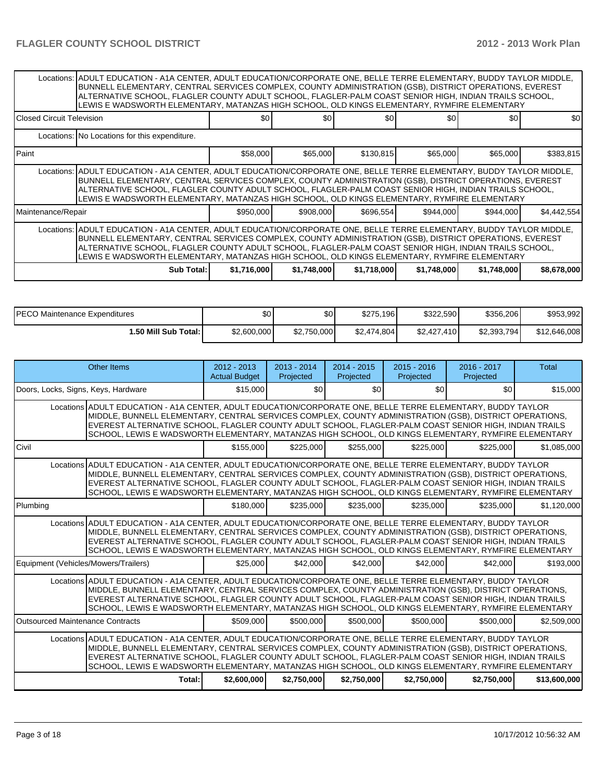|                             | Locations:  ADULT EDUCATION - A1A CENTER, ADULT EDUCATION/CORPORATE ONE, BELLE TERRE ELEMENTARY, BUDDY TAYLOR MIDDLE,<br>BUNNELL ELEMENTARY, CENTRAL SERVICES COMPLEX, COUNTY ADMINISTRATION (GSB), DISTRICT OPERATIONS, EVEREST<br>ALTERNATIVE SCHOOL, FLAGLER COUNTY ADULT SCHOOL, FLAGLER-PALM COAST SENIOR HIGH, INDIAN TRAILS SCHOOL,<br>LEWIS E WADSWORTH ELEMENTARY, MATANZAS HIGH SCHOOL, OLD KINGS ELEMENTARY, RYMFIRE ELEMENTARY |             |             |             |             |             |             |
|-----------------------------|--------------------------------------------------------------------------------------------------------------------------------------------------------------------------------------------------------------------------------------------------------------------------------------------------------------------------------------------------------------------------------------------------------------------------------------------|-------------|-------------|-------------|-------------|-------------|-------------|
| l Closed Circuit Television |                                                                                                                                                                                                                                                                                                                                                                                                                                            | \$0         | \$0         | \$0         | \$0         | \$0         | \$0         |
|                             | Locations: No Locations for this expenditure.                                                                                                                                                                                                                                                                                                                                                                                              |             |             |             |             |             |             |
| l Paint                     |                                                                                                                                                                                                                                                                                                                                                                                                                                            | \$58,000    | \$65,000    | \$130,815   | \$65,000    | \$65,000    | \$383,815   |
|                             | Locations: ADULT EDUCATION - A1A CENTER, ADULT EDUCATION/CORPORATE ONE, BELLE TERRE ELEMENTARY, BUDDY TAYLOR MIDDLE,<br>BUNNELL ELEMENTARY, CENTRAL SERVICES COMPLEX, COUNTY ADMINISTRATION (GSB), DISTRICT OPERATIONS, EVEREST<br>ALTERNATIVE SCHOOL, FLAGLER COUNTY ADULT SCHOOL, FLAGLER-PALM COAST SENIOR HIGH, INDIAN TRAILS SCHOOL,<br>LEWIS E WADSWORTH ELEMENTARY, MATANZAS HIGH SCHOOL, OLD KINGS ELEMENTARY, RYMFIRE ELEMENTARY  |             |             |             |             |             |             |
| Maintenance/Repair          |                                                                                                                                                                                                                                                                                                                                                                                                                                            | \$950,000   | \$908,000   | \$696,554]  | \$944,000   | \$944,000   | \$4,442,554 |
|                             | Locations: ADULT EDUCATION - A1A CENTER, ADULT EDUCATION/CORPORATE ONE, BELLE TERRE ELEMENTARY, BUDDY TAYLOR MIDDLE,<br>BUNNELL ELEMENTARY, CENTRAL SERVICES COMPLEX, COUNTY ADMINISTRATION (GSB), DISTRICT OPERATIONS, EVEREST<br>ALTERNATIVE SCHOOL, FLAGLER COUNTY ADULT SCHOOL, FLAGLER-PALM COAST SENIOR HIGH, INDIAN TRAILS SCHOOL,<br>LEWIS E WADSWORTH ELEMENTARY, MATANZAS HIGH SCHOOL, OLD KINGS ELEMENTARY, RYMFIRE ELEMENTARY  |             |             |             |             |             |             |
|                             | Sub Total: I                                                                                                                                                                                                                                                                                                                                                                                                                               | \$1,716,000 | \$1,748,000 | \$1,718,000 | \$1,748,000 | \$1,748,000 | \$8,678,000 |

| PECO Maintenance Expenditures | \$0         | \$0         | \$275,196   | \$322,590   | \$356,206   | \$953,992    |
|-------------------------------|-------------|-------------|-------------|-------------|-------------|--------------|
| I.50 Mill Sub Total: I        | \$2,600,000 | \$2,750,000 | \$2,474,804 | \$2,427,410 | \$2,393,794 | \$12,646,008 |

|                                         | <b>Other Items</b>                                                                                                                                                                                                                                                                                                                                                                                                                       | $2012 - 2013$<br><b>Actual Budget</b> | $2013 - 2014$<br>Projected | $2014 - 2015$<br>Projected | $2015 - 2016$<br>Projected | $2016 - 2017$<br>Projected | Total        |
|-----------------------------------------|------------------------------------------------------------------------------------------------------------------------------------------------------------------------------------------------------------------------------------------------------------------------------------------------------------------------------------------------------------------------------------------------------------------------------------------|---------------------------------------|----------------------------|----------------------------|----------------------------|----------------------------|--------------|
| Doors, Locks, Signs, Keys, Hardware     |                                                                                                                                                                                                                                                                                                                                                                                                                                          | \$15,000                              | \$0                        | \$0                        | \$0                        | \$0                        | \$15,000     |
|                                         | Locations ADULT EDUCATION - A1A CENTER, ADULT EDUCATION/CORPORATE ONE, BELLE TERRE ELEMENTARY, BUDDY TAYLOR<br>MIDDLE, BUNNELL ELEMENTARY, CENTRAL SERVICES COMPLEX, COUNTY ADMINISTRATION (GSB), DISTRICT OPERATIONS,<br>EVEREST ALTERNATIVE SCHOOL, FLAGLER COUNTY ADULT SCHOOL, FLAGLER-PALM COAST SENIOR HIGH, INDIAN TRAILS<br>SCHOOL, LEWIS E WADSWORTH ELEMENTARY, MATANZAS HIGH SCHOOL, OLD KINGS ELEMENTARY, RYMFIRE ELEMENTARY |                                       |                            |                            |                            |                            |              |
| <b>Civil</b>                            |                                                                                                                                                                                                                                                                                                                                                                                                                                          | \$155,000                             | \$225,000                  | \$255.000                  | \$225,000                  | \$225.000                  | \$1.085.000  |
|                                         | Locations ADULT EDUCATION - A1A CENTER, ADULT EDUCATION/CORPORATE ONE, BELLE TERRE ELEMENTARY, BUDDY TAYLOR<br>MIDDLE, BUNNELL ELEMENTARY, CENTRAL SERVICES COMPLEX, COUNTY ADMINISTRATION (GSB), DISTRICT OPERATIONS,<br>EVEREST ALTERNATIVE SCHOOL, FLAGLER COUNTY ADULT SCHOOL, FLAGLER-PALM COAST SENIOR HIGH, INDIAN TRAILS<br>SCHOOL, LEWIS E WADSWORTH ELEMENTARY, MATANZAS HIGH SCHOOL, OLD KINGS ELEMENTARY, RYMFIRE ELEMENTARY |                                       |                            |                            |                            |                            |              |
| Plumbing                                |                                                                                                                                                                                                                                                                                                                                                                                                                                          | \$180,000                             | \$235,000                  | \$235,000                  | \$235,000                  | \$235,000                  | \$1,120,000  |
|                                         | Locations ADULT EDUCATION - A1A CENTER, ADULT EDUCATION/CORPORATE ONE, BELLE TERRE ELEMENTARY, BUDDY TAYLOR<br>MIDDLE, BUNNELL ELEMENTARY, CENTRAL SERVICES COMPLEX, COUNTY ADMINISTRATION (GSB), DISTRICT OPERATIONS,<br>EVEREST ALTERNATIVE SCHOOL, FLAGLER COUNTY ADULT SCHOOL, FLAGLER-PALM COAST SENIOR HIGH, INDIAN TRAILS<br>SCHOOL, LEWIS E WADSWORTH ELEMENTARY, MATANZAS HIGH SCHOOL, OLD KINGS ELEMENTARY, RYMFIRE ELEMENTARY |                                       |                            |                            |                            |                            |              |
| Equipment (Vehicles/Mowers/Trailers)    |                                                                                                                                                                                                                                                                                                                                                                                                                                          | \$25,000                              | \$42,000                   | \$42,000                   | \$42,000                   | \$42,000                   | \$193,000    |
|                                         | Locations ADULT EDUCATION - A1A CENTER, ADULT EDUCATION/CORPORATE ONE, BELLE TERRE ELEMENTARY, BUDDY TAYLOR<br>MIDDLE, BUNNELL ELEMENTARY, CENTRAL SERVICES COMPLEX, COUNTY ADMINISTRATION (GSB), DISTRICT OPERATIONS,<br>EVEREST ALTERNATIVE SCHOOL, FLAGLER COUNTY ADULT SCHOOL, FLAGLER-PALM COAST SENIOR HIGH, INDIAN TRAILS<br>SCHOOL, LEWIS E WADSWORTH ELEMENTARY, MATANZAS HIGH SCHOOL, OLD KINGS ELEMENTARY, RYMFIRE ELEMENTARY |                                       |                            |                            |                            |                            |              |
| <b>Outsourced Maintenance Contracts</b> |                                                                                                                                                                                                                                                                                                                                                                                                                                          | \$509,000                             | \$500,000                  | \$500,000                  | \$500,000                  | \$500,000                  | \$2,509,000  |
|                                         | Locations ADULT EDUCATION - A1A CENTER. ADULT EDUCATION/CORPORATE ONE. BELLE TERRE ELEMENTARY. BUDDY TAYLOR<br>MIDDLE, BUNNELL ELEMENTARY, CENTRAL SERVICES COMPLEX, COUNTY ADMINISTRATION (GSB), DISTRICT OPERATIONS,<br>EVEREST ALTERNATIVE SCHOOL. FLAGLER COUNTY ADULT SCHOOL. FLAGLER-PALM COAST SENIOR HIGH. INDIAN TRAILS<br>SCHOOL, LEWIS E WADSWORTH ELEMENTARY, MATANZAS HIGH SCHOOL, OLD KINGS ELEMENTARY, RYMFIRE ELEMENTARY |                                       |                            |                            |                            |                            |              |
|                                         | Total:                                                                                                                                                                                                                                                                                                                                                                                                                                   | \$2,600,000                           | \$2,750,000                | \$2,750,000                | \$2,750,000                | \$2,750,000                | \$13,600,000 |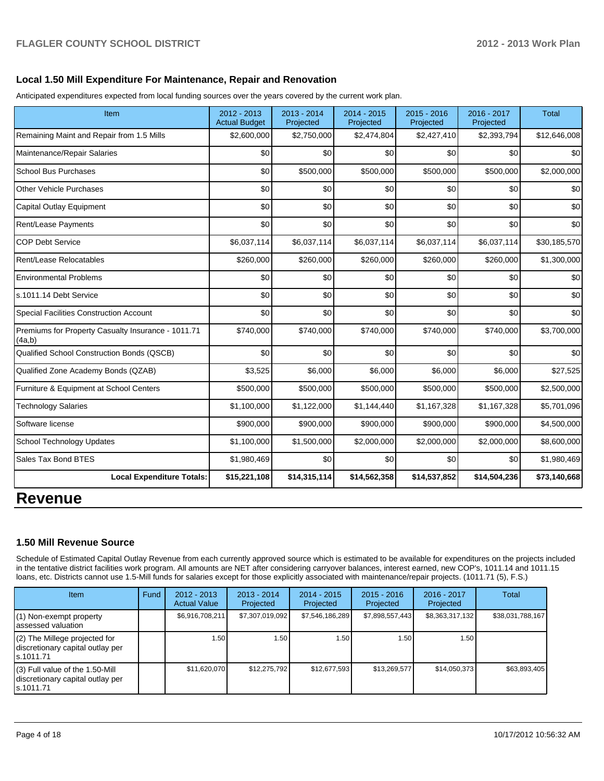### **Local 1.50 Mill Expenditure For Maintenance, Repair and Renovation**

Anticipated expenditures expected from local funding sources over the years covered by the current work plan.

| Item                                                         | 2012 - 2013<br><b>Actual Budget</b> | $2013 - 2014$<br>Projected | 2014 - 2015<br>Projected | $2015 - 2016$<br>Projected | 2016 - 2017<br>Projected | <b>Total</b> |
|--------------------------------------------------------------|-------------------------------------|----------------------------|--------------------------|----------------------------|--------------------------|--------------|
| Remaining Maint and Repair from 1.5 Mills                    | \$2,600,000                         | \$2,750,000                | \$2,474,804              | \$2,427,410                | \$2,393,794              | \$12,646,008 |
| Maintenance/Repair Salaries                                  | \$0                                 | \$0                        | \$0                      | \$0                        | \$0                      | \$0          |
| <b>School Bus Purchases</b>                                  | \$0                                 | \$500,000                  | \$500,000                | \$500,000                  | \$500,000                | \$2,000,000  |
| <b>Other Vehicle Purchases</b>                               | \$0                                 | \$0                        | \$0                      | \$0                        | \$0                      | \$0          |
| <b>Capital Outlay Equipment</b>                              | \$0                                 | \$0                        | \$0                      | \$0                        | \$0                      | \$0          |
| Rent/Lease Payments                                          | \$0                                 | \$0                        | \$0                      | \$0                        | \$0                      | \$0          |
| <b>COP Debt Service</b>                                      | \$6,037,114                         | \$6,037,114                | \$6,037,114              | \$6,037,114                | \$6,037,114              | \$30,185,570 |
| Rent/Lease Relocatables                                      | \$260,000                           | \$260,000                  | \$260,000                | \$260,000                  | \$260,000                | \$1,300,000  |
| <b>Environmental Problems</b>                                | \$0                                 | \$0                        | \$0                      | \$0                        | \$0                      | \$0          |
| s.1011.14 Debt Service                                       | \$0                                 | \$0                        | \$0                      | \$0                        | \$0                      | \$0          |
| <b>Special Facilities Construction Account</b>               | \$0                                 | \$0                        | \$0                      | \$0                        | \$0                      | \$0          |
| Premiums for Property Casualty Insurance - 1011.71<br>(4a,b) | \$740,000                           | \$740,000                  | \$740,000                | \$740,000                  | \$740,000                | \$3,700,000  |
| Qualified School Construction Bonds (QSCB)                   | \$0                                 | \$0                        | \$0                      | \$0                        | \$0                      | \$0          |
| Qualified Zone Academy Bonds (QZAB)                          | \$3,525                             | \$6,000                    | \$6,000                  | \$6,000                    | \$6,000                  | \$27,525     |
| Furniture & Equipment at School Centers                      | \$500,000                           | \$500,000                  | \$500,000                | \$500,000                  | \$500,000                | \$2,500,000  |
| <b>Technology Salaries</b>                                   | \$1,100,000                         | \$1,122,000                | \$1,144,440              | \$1,167,328                | \$1,167,328              | \$5,701,096  |
| Software license                                             | \$900,000                           | \$900,000                  | \$900,000                | \$900,000                  | \$900,000                | \$4,500,000  |
| School Technology Updates                                    | \$1,100,000                         | \$1,500,000                | \$2,000,000              | \$2,000,000                | \$2,000,000              | \$8,600,000  |
| Sales Tax Bond BTES                                          | \$1,980,469                         | \$0                        | \$0                      | \$0                        | \$0                      | \$1,980,469  |
| <b>Local Expenditure Totals:</b>                             | \$15,221,108                        | \$14,315,114               | \$14,562,358             | \$14,537,852               | \$14,504,236             | \$73,140,668 |

# **Revenue**

### **1.50 Mill Revenue Source**

Schedule of Estimated Capital Outlay Revenue from each currently approved source which is estimated to be available for expenditures on the projects included in the tentative district facilities work program. All amounts are NET after considering carryover balances, interest earned, new COP's, 1011.14 and 1011.15 loans, etc. Districts cannot use 1.5-Mill funds for salaries except for those explicitly associated with maintenance/repair projects. (1011.71 (5), F.S.)

| <b>Item</b>                                                                         | Fund | $2012 - 2013$<br><b>Actual Value</b> | $2013 - 2014$<br>Projected | $2014 - 2015$<br>Projected | $2015 - 2016$<br>Projected | $2016 - 2017$<br>Projected | Total            |
|-------------------------------------------------------------------------------------|------|--------------------------------------|----------------------------|----------------------------|----------------------------|----------------------------|------------------|
| (1) Non-exempt property<br>lassessed valuation                                      |      | \$6,916,708,211                      | \$7,307,019,092            | \$7,546,186,289            | \$7,898,557,443            | \$8,363,317,132            | \$38,031,788,167 |
| $(2)$ The Millege projected for<br>discretionary capital outlay per<br>ls.1011.71   |      | 1.50                                 | .501                       | 1.50 <sub>1</sub>          | 1.50 l                     | 1.50                       |                  |
| $(3)$ Full value of the 1.50-Mill<br>discretionary capital outlay per<br>ls.1011.71 |      | \$11,620,070                         | \$12.275.792               | \$12,677,593               | \$13,269,577               | \$14,050,373               | \$63,893,405     |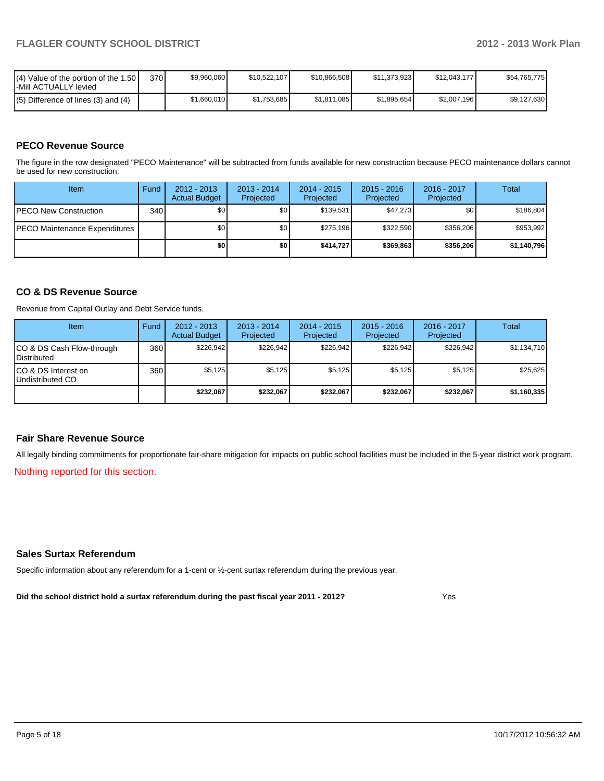| $\mathsf{I}(\mathsf{4})$ Value of the portion of the 1.50 $\mathsf{I}$<br>-Mill ACTUALLY levied | 370I | \$9,960,060 | \$10.522.107 | \$10.866.508 | \$11,373,923 | \$12.043.177 | \$54,765,775 |
|-------------------------------------------------------------------------------------------------|------|-------------|--------------|--------------|--------------|--------------|--------------|
| $(5)$ Difference of lines (3) and (4)                                                           |      | \$1,660,010 | \$1.753.685  | \$1.811.085  | \$1,895,654  | \$2,007,196  | \$9,127,630  |

## **PECO Revenue Source**

The figure in the row designated "PECO Maintenance" will be subtracted from funds available for new construction because PECO maintenance dollars cannot be used for new construction.

| Item                                 | Fund | $2012 - 2013$<br><b>Actual Budget</b> | $2013 - 2014$<br>Projected | $2014 - 2015$<br>Projected | $2015 - 2016$<br>Projected | $2016 - 2017$<br>Projected | Total       |
|--------------------------------------|------|---------------------------------------|----------------------------|----------------------------|----------------------------|----------------------------|-------------|
| <b>IPECO New Construction</b>        | 340  | \$0 <sub>1</sub>                      | \$0                        | \$139.531                  | \$47,273                   | \$0                        | \$186.804   |
| <b>PECO Maintenance Expenditures</b> |      | \$0                                   | \$0                        | \$275.196                  | \$322.590                  | \$356,206                  | \$953,992   |
|                                      |      | \$0                                   | \$0                        | \$414.727                  | \$369,863                  | \$356,206                  | \$1,140,796 |

## **CO & DS Revenue Source**

Revenue from Capital Outlay and Debt Service funds.

| <b>Item</b>                                     | Fund | $2012 - 2013$<br><b>Actual Budget</b> | $2013 - 2014$<br>Projected | $2014 - 2015$<br>Projected | $2015 - 2016$<br>Projected | $2016 - 2017$<br>Projected | Total       |
|-------------------------------------------------|------|---------------------------------------|----------------------------|----------------------------|----------------------------|----------------------------|-------------|
| CO & DS Cash Flow-through<br><b>Distributed</b> | 360  | \$226.942                             | \$226,942                  | \$226.942                  | \$226.942                  | \$226,942                  | \$1,134,710 |
| CO & DS Interest on<br>Undistributed CO         | 360  | \$5,125                               | \$5,125                    | \$5,125                    | \$5.125                    | \$5,125                    | \$25,625    |
|                                                 |      | \$232,067                             | \$232,067                  | \$232,067                  | \$232,067                  | \$232,067                  | \$1,160,335 |

#### **Fair Share Revenue Source**

All legally binding commitments for proportionate fair-share mitigation for impacts on public school facilities must be included in the 5-year district work program.

Nothing reported for this section.

#### **Sales Surtax Referendum**

Specific information about any referendum for a 1-cent or ½-cent surtax referendum during the previous year.

**Did the school district hold a surtax referendum during the past fiscal year 2011 - 2012?**

Yes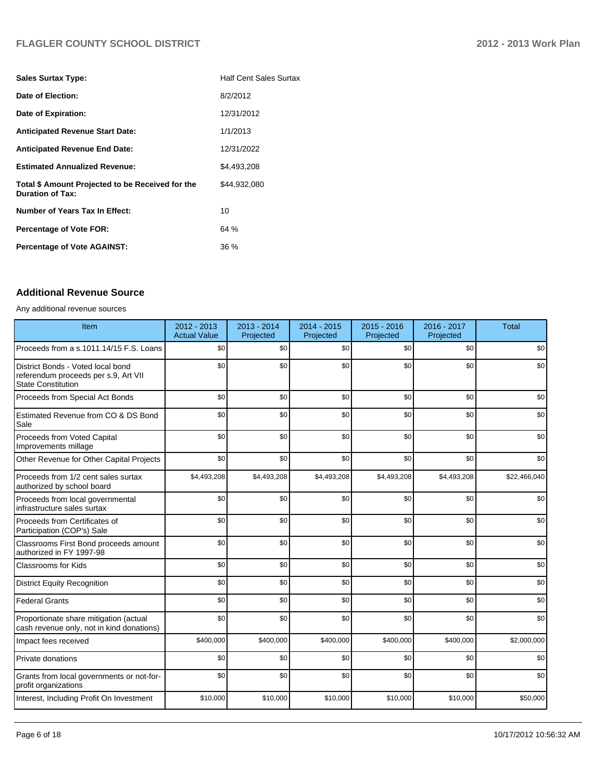# **FLAGLER COUNTY SCHOOL DISTRICT 2012 - 2013 Work Plan**

| <b>Sales Surtax Type:</b>                                                   | <b>Half Cent Sales Surtax</b> |
|-----------------------------------------------------------------------------|-------------------------------|
| Date of Election:                                                           | 8/2/2012                      |
| Date of Expiration:                                                         | 12/31/2012                    |
| <b>Anticipated Revenue Start Date:</b>                                      | 1/1/2013                      |
| <b>Anticipated Revenue End Date:</b>                                        | 12/31/2022                    |
| <b>Estimated Annualized Revenue:</b>                                        | \$4.493.208                   |
| Total \$ Amount Projected to be Received for the<br><b>Duration of Tax:</b> | \$44.932.080                  |
| <b>Number of Years Tax In Effect:</b>                                       | 10                            |
| <b>Percentage of Vote FOR:</b>                                              | 64%                           |
| <b>Percentage of Vote AGAINST:</b>                                          | 36 %                          |

# **Additional Revenue Source**

#### Any additional revenue sources

| Item                                                                                            | 2012 - 2013<br><b>Actual Value</b> | 2013 - 2014<br>Projected | $2014 - 2015$<br>Projected | $2015 - 2016$<br>Projected | 2016 - 2017<br>Projected | <b>Total</b> |
|-------------------------------------------------------------------------------------------------|------------------------------------|--------------------------|----------------------------|----------------------------|--------------------------|--------------|
| Proceeds from a s.1011.14/15 F.S. Loans                                                         | \$0                                | \$0                      | \$0                        | \$0                        | \$0                      | \$0          |
| District Bonds - Voted local bond<br>referendum proceeds per s.9, Art VII<br>State Constitution | \$0                                | \$0                      | \$0                        | \$0                        | \$0                      | \$0          |
| Proceeds from Special Act Bonds                                                                 | \$0                                | \$0                      | \$0                        | \$0                        | \$0                      | \$0          |
| Estimated Revenue from CO & DS Bond<br>Sale                                                     | \$0                                | \$0                      | \$0                        | \$0                        | \$0                      | \$0          |
| Proceeds from Voted Capital<br>Improvements millage                                             | \$0                                | \$0                      | \$0                        | \$0                        | \$0                      | \$0          |
| Other Revenue for Other Capital Projects                                                        | \$0                                | \$0                      | \$0                        | \$0                        | \$0                      | \$0          |
| Proceeds from 1/2 cent sales surtax<br>authorized by school board                               | \$4,493,208                        | \$4,493,208              | \$4,493,208                | \$4,493,208                | \$4,493,208              | \$22,466,040 |
| Proceeds from local governmental<br>infrastructure sales surtax                                 | \$0                                | \$0                      | \$0                        | \$0                        | \$0                      | \$0          |
| Proceeds from Certificates of<br>Participation (COP's) Sale                                     | \$0                                | \$0                      | \$0                        | \$0                        | \$0                      | \$0          |
| Classrooms First Bond proceeds amount<br>authorized in FY 1997-98                               | \$0                                | \$0                      | \$0                        | \$0                        | \$0                      | \$0          |
| Classrooms for Kids                                                                             | \$0                                | \$0                      | \$0                        | \$0                        | \$0                      | \$0          |
| <b>District Equity Recognition</b>                                                              | \$0                                | \$0                      | \$0                        | \$0                        | \$0                      | \$0          |
| Federal Grants                                                                                  | \$0                                | \$0                      | \$0                        | \$0                        | \$0                      | \$0          |
| Proportionate share mitigation (actual<br>cash revenue only, not in kind donations)             | \$0                                | \$0                      | \$0                        | \$0                        | \$0                      | \$0          |
| Impact fees received                                                                            | \$400,000                          | \$400,000                | \$400,000                  | \$400,000                  | \$400,000                | \$2,000,000  |
| <b>Private donations</b>                                                                        | \$0                                | \$0                      | \$0                        | \$0                        | \$0                      | \$0          |
| Grants from local governments or not-for-<br>profit organizations                               | \$0                                | \$0                      | \$0                        | \$0                        | \$0                      | \$0          |
| Interest, Including Profit On Investment                                                        | \$10,000                           | \$10,000                 | \$10,000                   | \$10,000                   | \$10,000                 | \$50,000     |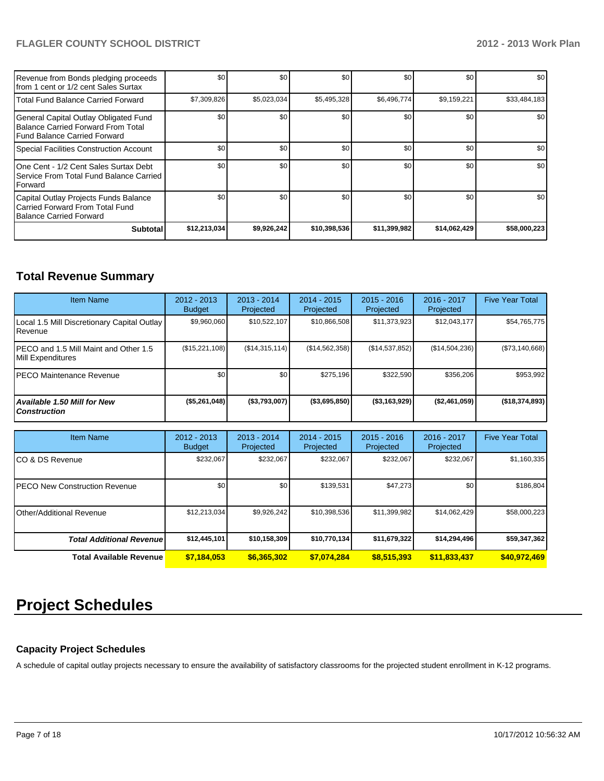# **FLAGLER COUNTY SCHOOL DISTRICT 2012 - 2013 Work Plan**

| Revenue from Bonds pledging proceeds<br>Ifrom 1 cent or 1/2 cent Sales Surtax                               | \$0          | \$0         | \$0          | \$0          | \$0          | \$0 <sub>1</sub> |
|-------------------------------------------------------------------------------------------------------------|--------------|-------------|--------------|--------------|--------------|------------------|
| Total Fund Balance Carried Forward                                                                          | \$7,309,826  | \$5,023,034 | \$5,495,328  | \$6,496,774] | \$9,159,221  | \$33,484,183     |
| General Capital Outlay Obligated Fund<br>Balance Carried Forward From Total<br>Fund Balance Carried Forward | \$0          | \$0         | \$0          | \$0          | \$0          | \$0 <sub>1</sub> |
| Special Facilities Construction Account                                                                     | \$0          | \$0         | \$0          | \$0          | \$0          | \$0              |
| 1One Cent - 1/2 Cent Sales Surtax Debt<br>I Service From Total Fund Balance Carried<br><b>I</b> Forward     | \$0          | \$0         | \$0          | \$0          | \$0          | \$0              |
| Capital Outlay Projects Funds Balance<br>l Carried Forward From Total Fund<br>Balance Carried Forward       | \$0          | \$0         | \$0          | \$0          | \$0          | \$0 <sub>1</sub> |
| <b>Subtotal</b>                                                                                             | \$12,213,034 | \$9,926,242 | \$10,398,536 | \$11,399,982 | \$14,062,429 | \$58,000,223     |

# **Total Revenue Summary**

| <b>Item Name</b>                                            | $2012 - 2013$<br><b>Budget</b> | $2013 - 2014$<br>Projected | $2014 - 2015$<br><b>Projected</b> | $2015 - 2016$<br>Projected | $2016 - 2017$<br>Projected | <b>Five Year Total</b> |
|-------------------------------------------------------------|--------------------------------|----------------------------|-----------------------------------|----------------------------|----------------------------|------------------------|
| Local 1.5 Mill Discretionary Capital Outlay<br>Revenue      | \$9,960,060                    | \$10,522,107               | \$10,866,508                      | \$11,373,923               | \$12,043,177               | \$54,765,775           |
| IPECO and 1.5 Mill Maint and Other 1.5<br>Mill Expenditures | (\$15,221,108)                 | (S14, 315, 114)            | (S14, 562, 358)                   | (\$14,537,852)             | (\$14,504,236)             | (\$73,140,668)         |
| IPECO Maintenance Revenue                                   | \$0 <sub>1</sub>               | \$0                        | \$275.196                         | \$322.590                  | \$356,206                  | \$953,992              |
| <b>Available 1.50 Mill for New</b><br><b>Construction</b>   | $($ \$5,261,048)               | $($ \$3,793,007)           | ( \$3,695,850)                    | $($ \$3,163,929)           | (S2,461,059)               | ( \$18, 374, 893)      |

| <b>Item Name</b>                      | $2012 - 2013$<br><b>Budget</b> | $2013 - 2014$<br>Projected | 2014 - 2015<br>Projected | $2015 - 2016$<br>Projected | 2016 - 2017<br>Projected | <b>Five Year Total</b> |
|---------------------------------------|--------------------------------|----------------------------|--------------------------|----------------------------|--------------------------|------------------------|
| ICO & DS Revenue                      | \$232,067                      | \$232,067                  | \$232,067                | \$232,067                  | \$232,067                | \$1,160,335            |
| <b>IPECO New Construction Revenue</b> | \$0                            | \$0 <sub>1</sub>           | \$139.531                | \$47,273                   | \$0                      | \$186,804              |
| <b>I</b> Other/Additional Revenue     | \$12,213,034                   | \$9,926,242                | \$10,398,536             | \$11,399,982               | \$14,062,429             | \$58,000,223           |
| <b>Total Additional Revenuel</b>      | \$12,445,101                   | \$10,158,309               | \$10,770,134             | \$11,679,322               | \$14,294,496             | \$59,347,362           |
| <b>Total Available Revenue</b>        | \$7,184,053                    | \$6,365,302                | \$7,074,284              | \$8,515,393                | \$11,833,437             | \$40,972,469           |

# **Project Schedules**

## **Capacity Project Schedules**

A schedule of capital outlay projects necessary to ensure the availability of satisfactory classrooms for the projected student enrollment in K-12 programs.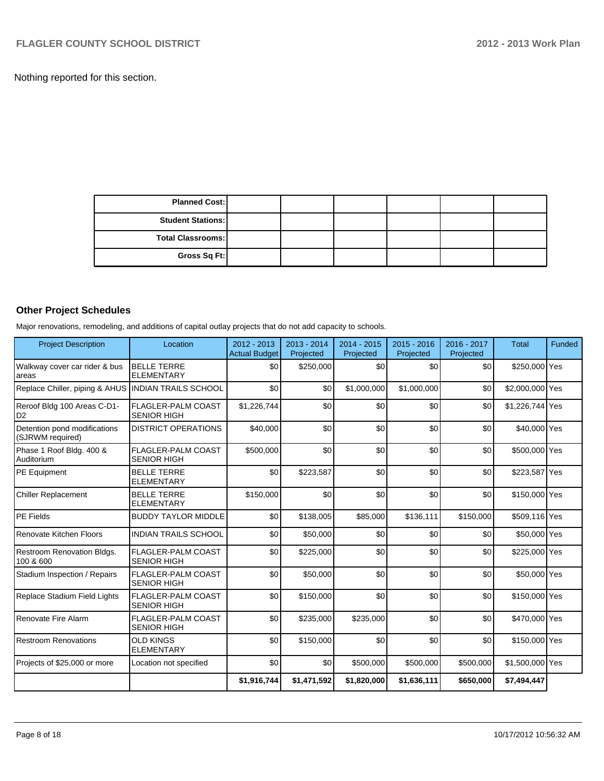Nothing reported for this section.

| <b>Planned Cost:</b>     |  |  |  |
|--------------------------|--|--|--|
| <b>Student Stations:</b> |  |  |  |
| Total Classrooms:        |  |  |  |
| Gross Sq Ft:             |  |  |  |

# **Other Project Schedules**

Major renovations, remodeling, and additions of capital outlay projects that do not add capacity to schools.

| <b>Project Description</b>                          | Location                                        | 2012 - 2013<br>Actual Budget | 2013 - 2014<br>Projected | $2014 - 2015$<br>Projected | 2015 - 2016<br>Projected | $2016 - 2017$<br>Projected | <b>Total</b>    | Funded |
|-----------------------------------------------------|-------------------------------------------------|------------------------------|--------------------------|----------------------------|--------------------------|----------------------------|-----------------|--------|
| Walkway cover car rider & bus<br>areas              | <b>BELLE TERRE</b><br><b>ELEMENTARY</b>         | \$0                          | \$250,000                | \$0                        | \$0                      | \$0                        | \$250,000 Yes   |        |
| Replace Chiller, piping & AHUS INDIAN TRAILS SCHOOL |                                                 | \$0                          | \$0                      | \$1,000,000                | \$1,000,000              | \$0                        | \$2,000,000 Yes |        |
| Reroof Bldg 100 Areas C-D1-<br>l D2                 | <b>FLAGLER-PALM COAST</b><br><b>SENIOR HIGH</b> | \$1,226,744                  | \$0                      | \$0                        | \$0                      | \$0                        | \$1,226,744 Yes |        |
| Detention pond modifications<br>(SJRWM required)    | <b>DISTRICT OPERATIONS</b>                      | \$40,000                     | \$0                      | \$0                        | \$0                      | \$0                        | \$40,000 Yes    |        |
| Phase 1 Roof Bldg. 400 &<br>Auditorium              | FLAGLER-PALM COAST<br><b>SENIOR HIGH</b>        | \$500,000                    | \$0                      | \$0                        | \$0                      | \$0                        | \$500,000 Yes   |        |
| PE Equipment                                        | <b>BELLE TERRE</b><br><b>ELEMENTARY</b>         | \$0                          | \$223,587                | \$0                        | \$0                      | \$0                        | \$223,587 Yes   |        |
| <b>Chiller Replacement</b>                          | <b>BELLE TERRE</b><br><b>ELEMENTARY</b>         | \$150,000                    | \$0                      | \$0                        | \$0                      | \$0                        | \$150,000 Yes   |        |
| PE Fields                                           | <b>BUDDY TAYLOR MIDDLE</b>                      | \$0                          | \$138,005                | \$85,000                   | \$136,111                | \$150,000                  | \$509,116 Yes   |        |
| Renovate Kitchen Floors                             | <b>INDIAN TRAILS SCHOOL</b>                     | \$0                          | \$50,000                 | \$0                        | \$0                      | \$0                        | \$50,000 Yes    |        |
| Restroom Renovation Bldgs.<br>100 & 600             | <b>FLAGLER-PALM COAST</b><br><b>SENIOR HIGH</b> | \$0                          | \$225,000                | \$0                        | \$0                      | \$0                        | \$225,000 Yes   |        |
| Stadium Inspection / Repairs                        | <b>FLAGLER-PALM COAST</b><br><b>SENIOR HIGH</b> | \$0                          | \$50,000                 | \$0                        | \$0                      | \$0                        | \$50,000 Yes    |        |
| Replace Stadium Field Lights                        | <b>FLAGLER-PALM COAST</b><br><b>SENIOR HIGH</b> | \$0                          | \$150,000                | \$0                        | \$0                      | \$0                        | \$150,000 Yes   |        |
| Renovate Fire Alarm                                 | <b>FLAGLER-PALM COAST</b><br><b>SENIOR HIGH</b> | \$0                          | \$235,000                | \$235,000                  | \$0                      | \$0                        | \$470,000 Yes   |        |
| <b>Restroom Renovations</b>                         | <b>OLD KINGS</b><br><b>ELEMENTARY</b>           | \$0                          | \$150,000                | \$0                        | \$0                      | \$0                        | \$150,000 Yes   |        |
| Projects of \$25,000 or more                        | Location not specified                          | \$0                          | \$0                      | \$500,000                  | \$500,000                | \$500,000                  | \$1,500,000 Yes |        |
|                                                     |                                                 | \$1,916,744                  | \$1,471,592              | \$1,820,000                | \$1,636,111              | \$650,000                  | \$7,494,447     |        |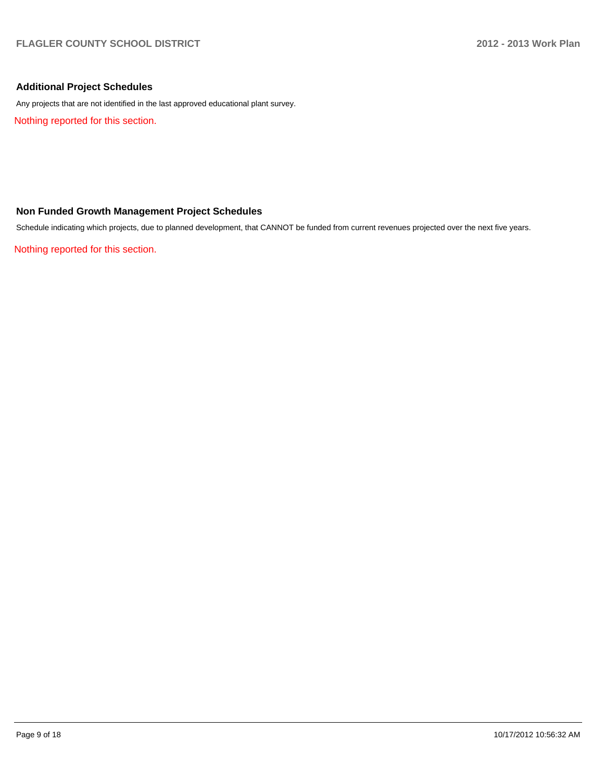## **Additional Project Schedules**

Any projects that are not identified in the last approved educational plant survey.

Nothing reported for this section.

## **Non Funded Growth Management Project Schedules**

Schedule indicating which projects, due to planned development, that CANNOT be funded from current revenues projected over the next five years.

Nothing reported for this section.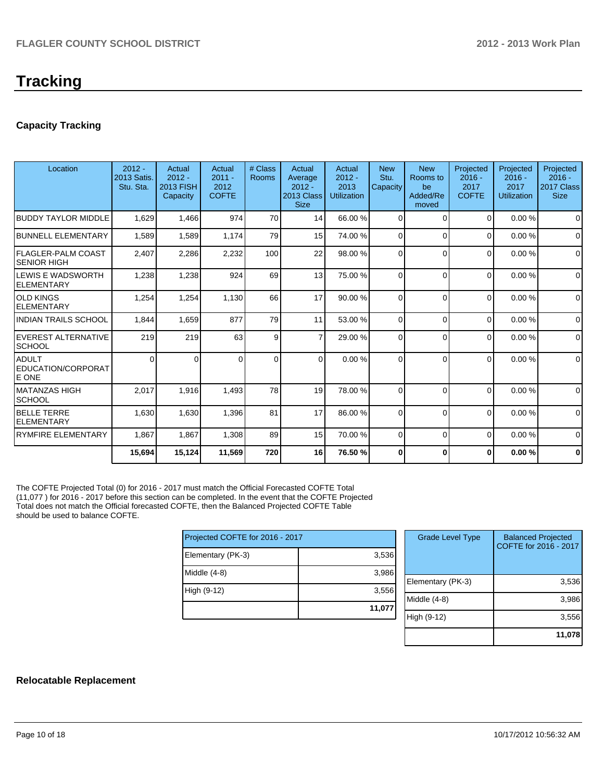# **Tracking**

## **Capacity Tracking**

| Location                                      | $2012 -$<br>2013 Satis.<br>Stu. Sta. | Actual<br>$2012 -$<br><b>2013 FISH</b><br>Capacity | Actual<br>$2011 -$<br>2012<br><b>COFTE</b> | # Class<br>Rooms | Actual<br>Average<br>$2012 -$<br>2013 Class<br><b>Size</b> | Actual<br>$2012 -$<br>2013<br><b>Utilization</b> | <b>New</b><br>Stu.<br>Capacity | <b>New</b><br>Rooms to<br>be<br>Added/Re<br>moved | Projected<br>$2016 -$<br>2017<br><b>COFTE</b> | Projected<br>$2016 -$<br>2017<br>Utilization | Projected<br>$2016 -$<br>2017 Class<br><b>Size</b> |
|-----------------------------------------------|--------------------------------------|----------------------------------------------------|--------------------------------------------|------------------|------------------------------------------------------------|--------------------------------------------------|--------------------------------|---------------------------------------------------|-----------------------------------------------|----------------------------------------------|----------------------------------------------------|
| <b>BUDDY TAYLOR MIDDLE</b>                    | 1,629                                | 1,466                                              | 974                                        | 70               | 14                                                         | 66.00 %                                          | $\Omega$                       | $\Omega$                                          | $\Omega$                                      | 0.00%                                        | $\Omega$                                           |
| <b>BUNNELL ELEMENTARY</b>                     | 1,589                                | 1,589                                              | 1,174                                      | 79               | 15                                                         | 74.00 %                                          | $\Omega$                       | $\Omega$                                          | $\Omega$                                      | 0.00%                                        | $\Omega$                                           |
| FLAGLER-PALM COAST<br><b>SENIOR HIGH</b>      | 2,407                                | 2,286                                              | 2,232                                      | 100              | 22                                                         | 98.00 %                                          | $\Omega$                       | $\Omega$                                          | $\Omega$                                      | 0.00%                                        | $\mathbf 0$                                        |
| <b>LEWIS E WADSWORTH</b><br><b>ELEMENTARY</b> | 1,238                                | 1,238                                              | 924                                        | 69               | 13                                                         | 75.00 %                                          | $\Omega$                       | $\Omega$                                          | $\Omega$                                      | 0.00%                                        | $\mathbf 0$                                        |
| <b>OLD KINGS</b><br><b>ELEMENTARY</b>         | 1,254                                | 1,254                                              | 1,130                                      | 66               | 17                                                         | 90.00 %                                          | $\Omega$                       | $\Omega$                                          | $\Omega$                                      | 0.00%                                        | $\Omega$                                           |
| <b>INDIAN TRAILS SCHOOL</b>                   | 1,844                                | 1,659                                              | 877                                        | 79               | 11                                                         | 53.00 %                                          | $\Omega$                       | $\Omega$                                          | $\Omega$                                      | 0.00%                                        | $\Omega$                                           |
| EVEREST ALTERNATIVE<br><b>SCHOOL</b>          | 219                                  | 219                                                | 63                                         | 9                | 7                                                          | 29.00 %                                          | $\Omega$                       | $\Omega$                                          | 0                                             | 0.00%                                        | $\Omega$                                           |
| <b>ADULT</b><br>EDUCATION/CORPORAT<br>E ONE   | $\Omega$                             | $\Omega$                                           | <sup>n</sup>                               | $\mathbf 0$      | $\Omega$                                                   | 0.00 %                                           | $\Omega$                       | $\Omega$                                          | $\Omega$                                      | 0.00%                                        | 0                                                  |
| IMATANZAS HIGH<br><b>SCHOOL</b>               | 2,017                                | 1,916                                              | 1,493                                      | 78               | 19                                                         | 78.00 %                                          | $\Omega$                       | $\Omega$                                          | $\Omega$                                      | 0.00%                                        | $\Omega$                                           |
| <b>BELLE TERRE</b><br><b>ELEMENTARY</b>       | 1,630                                | 1,630                                              | 1,396                                      | 81               | 17                                                         | 86.00 %                                          | $\Omega$                       | $\Omega$                                          | $\Omega$                                      | 0.00%                                        | $\Omega$                                           |
| <b>RYMFIRE ELEMENTARY</b>                     | 1,867                                | 1,867                                              | 1,308                                      | 89               | 15                                                         | 70.00 %                                          | 0                              | $\Omega$                                          | $\Omega$                                      | 0.00%                                        | $\mathbf 0$                                        |
|                                               | 15,694                               | 15,124                                             | 11,569                                     | 720              | 16                                                         | 76.50 %                                          | 0                              | $\Omega$                                          | 0                                             | 0.00%                                        | $\bf{0}$                                           |

The COFTE Projected Total (0) for 2016 - 2017 must match the Official Forecasted COFTE Total (11,077 ) for 2016 - 2017 before this section can be completed. In the event that the COFTE Projected Total does not match the Official forecasted COFTE, then the Balanced Projected COFTE Table should be used to balance COFTE.

| Projected COFTE for 2016 - 2017 |        |  |  |  |  |  |
|---------------------------------|--------|--|--|--|--|--|
| Elementary (PK-3)               | 3,536  |  |  |  |  |  |
| Middle (4-8)                    | 3,986  |  |  |  |  |  |
| High (9-12)                     | 3,556  |  |  |  |  |  |
|                                 | 11,077 |  |  |  |  |  |

| <b>Grade Level Type</b> | <b>Balanced Projected</b><br>COFTE for 2016 - 2017 |
|-------------------------|----------------------------------------------------|
| Elementary (PK-3)       | 3,536                                              |
| Middle (4-8)            | 3,986                                              |
| High (9-12)             | 3,556                                              |
|                         | 11,078                                             |

#### **Relocatable Replacement**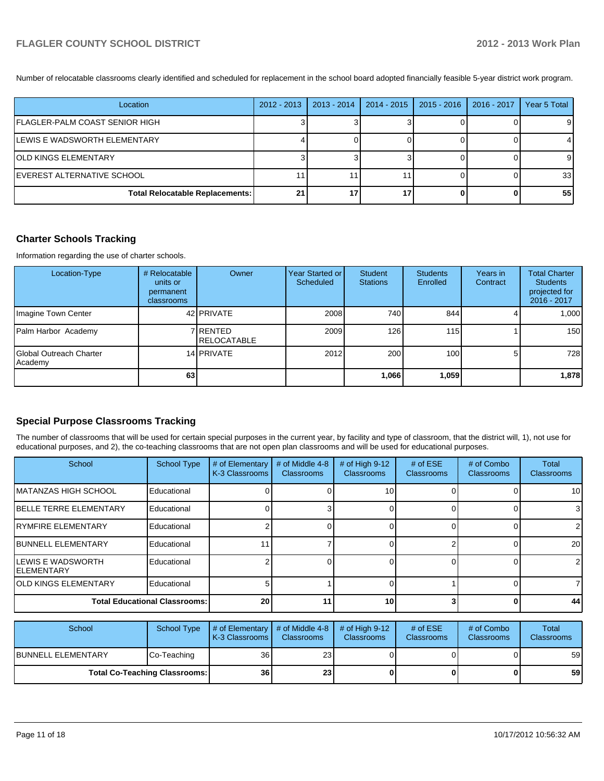Number of relocatable classrooms clearly identified and scheduled for replacement in the school board adopted financially feasible 5-year district work program.

| Location                               | $2012 - 2013$ | 2013 - 2014 | $2014 - 2015$ | $2015 - 2016$ | 2016 - 2017 | Year 5 Total |
|----------------------------------------|---------------|-------------|---------------|---------------|-------------|--------------|
| FLAGLER-PALM COAST SENIOR HIGH         |               |             |               |               |             |              |
| <b>ILEWIS E WADSWORTH ELEMENTARY</b>   |               |             |               |               |             |              |
| <b>IOLD KINGS ELEMENTARY</b>           |               |             |               |               |             |              |
| IEVEREST ALTERNATIVE SCHOOL            |               |             |               |               |             | 331          |
| <b>Total Relocatable Replacements:</b> | 21            |             | 17            |               |             | 55           |

## **Charter Schools Tracking**

Information regarding the use of charter schools.

| Location-Type                       | # Relocatable<br>units or<br>permanent<br>classrooms | Owner                            | Year Started or<br>Scheduled | Student<br><b>Stations</b> | <b>Students</b><br>Enrolled | Years in<br>Contract | <b>Total Charter</b><br><b>Students</b><br>projected for<br>2016 - 2017 |
|-------------------------------------|------------------------------------------------------|----------------------------------|------------------------------|----------------------------|-----------------------------|----------------------|-------------------------------------------------------------------------|
| Imagine Town Center                 |                                                      | 42 PRIVATE                       | 2008                         | 740                        | 844                         |                      | 1,000                                                                   |
| Palm Harbor Academy                 |                                                      | 7 RENTED<br><b>I</b> RELOCATABLE | 2009                         | 126                        | 115                         |                      | 150                                                                     |
| IGlobal Outreach Charter<br>Academy |                                                      | 14 PRIVATE                       | 2012                         | 200                        | 100 <sup>1</sup>            |                      | 728                                                                     |
|                                     | 63                                                   |                                  |                              | 1,066                      | 1,059                       |                      | 1,878                                                                   |

## **Special Purpose Classrooms Tracking**

The number of classrooms that will be used for certain special purposes in the current year, by facility and type of classroom, that the district will, 1), not use for educational purposes, and 2), the co-teaching classrooms that are not open plan classrooms and will be used for educational purposes.

| School                                          | <b>School Type</b> | # of Elementary<br>K-3 Classrooms | # of Middle 4-8<br><b>Classrooms</b> | # of High 9-12<br><b>Classrooms</b> | # of $ESE$<br><b>Classrooms</b> | # of Combo<br><b>Classrooms</b> | Total<br><b>Classrooms</b> |
|-------------------------------------------------|--------------------|-----------------------------------|--------------------------------------|-------------------------------------|---------------------------------|---------------------------------|----------------------------|
| IMATANZAS HIGH SCHOOL                           | Educational        |                                   |                                      | 10                                  |                                 |                                 | 10 <sub>l</sub>            |
| <b>IBELLE TERRE ELEMENTARY</b>                  | Educational        |                                   |                                      |                                     |                                 |                                 | 3                          |
| <b>IRYMFIRE ELEMENTARY</b>                      | Educational        |                                   |                                      |                                     |                                 |                                 | 21                         |
| <b>IBUNNELL ELEMENTARY</b>                      | Educational        |                                   |                                      |                                     |                                 |                                 | 20 <sub>l</sub>            |
| <b>ILEWIS E WADSWORTH</b><br><b>IELEMENTARY</b> | Educational        |                                   |                                      |                                     |                                 |                                 | $\overline{2}$             |
| <b>JOLD KINGS ELEMENTARY</b>                    | Educational        |                                   |                                      |                                     |                                 |                                 |                            |
| <b>Total Educational Classrooms:</b>            |                    | 20 <sub>1</sub>                   |                                      | 10                                  |                                 |                                 | 44                         |

| School                               | School Type | $\parallel$ # of Elementary $\parallel$ # of Middle 4-8 $\parallel$<br><b>K-3 Classrooms</b> | <b>Classrooms</b> | $#$ of High 9-12<br><b>Classrooms</b> | # of $ESE$<br><b>Classrooms</b> | # of Combo<br><b>Classrooms</b> | <b>Total</b><br><b>Classrooms</b> |
|--------------------------------------|-------------|----------------------------------------------------------------------------------------------|-------------------|---------------------------------------|---------------------------------|---------------------------------|-----------------------------------|
| IBUNNELL ELEMENTARY                  | Co-Teaching | 36 <sup>1</sup>                                                                              | 23 <sub>l</sub>   |                                       |                                 |                                 | 59                                |
| <b>Total Co-Teaching Classrooms:</b> |             | 36 <sup>1</sup>                                                                              | <b>23</b>         |                                       | 01                              | 0                               | 59                                |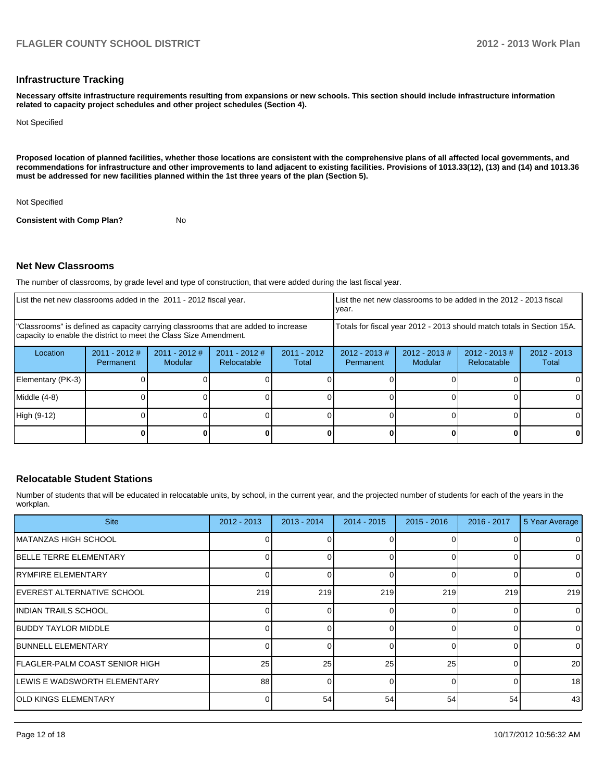#### **Infrastructure Tracking**

**Necessary offsite infrastructure requirements resulting from expansions or new schools. This section should include infrastructure information related to capacity project schedules and other project schedules (Section 4).**

Not Specified

**Proposed location of planned facilities, whether those locations are consistent with the comprehensive plans of all affected local governments, and recommendations for infrastructure and other improvements to land adjacent to existing facilities. Provisions of 1013.33(12), (13) and (14) and 1013.36 must be addressed for new facilities planned within the 1st three years of the plan (Section 5).**

Not Specified

**Consistent with Comp Plan?** No

#### **Net New Classrooms**

The number of classrooms, by grade level and type of construction, that were added during the last fiscal year.

| List the net new classrooms added in the 2011 - 2012 fiscal year.                                                                                       |                              |                            |                                | List the net new classrooms to be added in the 2012 - 2013 fiscal<br>Ivear. |                              |                            |                                |                        |
|---------------------------------------------------------------------------------------------------------------------------------------------------------|------------------------------|----------------------------|--------------------------------|-----------------------------------------------------------------------------|------------------------------|----------------------------|--------------------------------|------------------------|
| "Classrooms" is defined as capacity carrying classrooms that are added to increase<br>capacity to enable the district to meet the Class Size Amendment. |                              |                            |                                | Totals for fiscal year 2012 - 2013 should match totals in Section 15A.      |                              |                            |                                |                        |
| Location                                                                                                                                                | $2011 - 2012$ #<br>Permanent | $2011 - 2012$ #<br>Modular | $2011 - 2012$ #<br>Relocatable | $2011 - 2012$<br>Total                                                      | $2012 - 2013$ #<br>Permanent | $2012 - 2013$ #<br>Modular | $2012 - 2013$ #<br>Relocatable | $2012 - 2013$<br>Total |
| Elementary (PK-3)                                                                                                                                       |                              |                            |                                |                                                                             |                              |                            |                                |                        |
| Middle (4-8)                                                                                                                                            |                              |                            |                                |                                                                             |                              |                            |                                |                        |
| High (9-12)                                                                                                                                             |                              |                            |                                |                                                                             |                              |                            |                                | ΩI                     |
|                                                                                                                                                         |                              |                            |                                |                                                                             |                              |                            |                                |                        |

## **Relocatable Student Stations**

Number of students that will be educated in relocatable units, by school, in the current year, and the projected number of students for each of the years in the workplan.

| <b>Site</b>                     | 2012 - 2013 | 2013 - 2014 | $2014 - 2015$ | $2015 - 2016$ | $2016 - 2017$ | 5 Year Average |
|---------------------------------|-------------|-------------|---------------|---------------|---------------|----------------|
| IMATANZAS HIGH SCHOOL           |             |             |               |               |               | 0              |
| <b>IBELLE TERRE ELEMENTARY</b>  |             |             |               |               | Ω             | $\mathbf 0$    |
| IRYMFIRE ELEMENTARY             |             |             |               |               | $\Omega$      | 0              |
| IEVEREST ALTERNATIVE SCHOOL     | 219         | 219         | 219           | 219           | 219           | 219            |
| IINDIAN TRAILS SCHOOL           |             |             |               |               | $\Omega$      | $\mathbf 0$    |
| IBUDDY TAYLOR MIDDLE            |             |             |               |               | 0             | $\mathbf 0$    |
| <b>IBUNNELL ELEMENTARY</b>      |             |             |               |               | O             | $\mathbf 0$    |
| IFLAGLER-PALM COAST SENIOR HIGH | 25          | 25          | 25            | 25            |               | 20             |
| ILEWIS E WADSWORTH ELEMENTARY   | 88          | U           |               |               | $\Omega$      | 18             |
| IOLD KINGS ELEMENTARY           |             | 54          | 54            | 54            | 54            | 43             |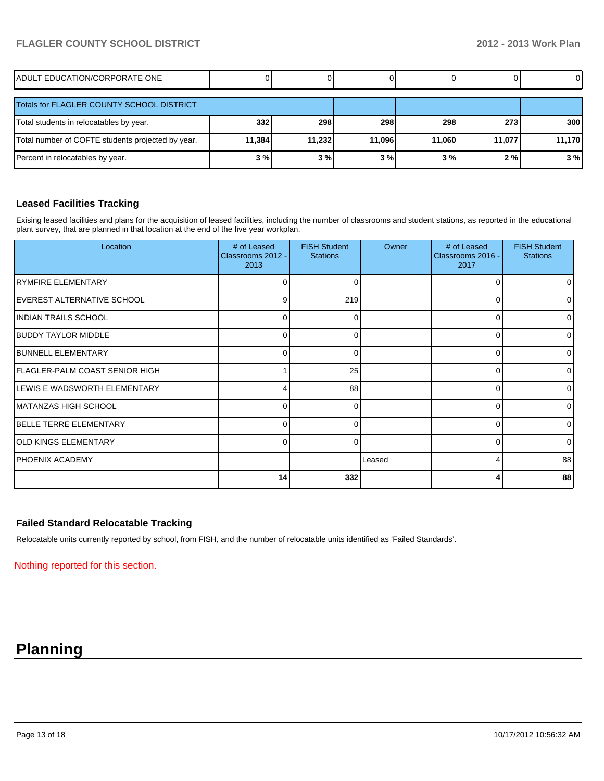# **FLAGLER COUNTY SCHOOL DISTRICT 2012 - 2013 Work Plan**

| IADULT EDUCATION/CORPORATE ONE                    |        |        |        |        |        | $\overline{0}$ |
|---------------------------------------------------|--------|--------|--------|--------|--------|----------------|
| Totals for FLAGLER COUNTY SCHOOL DISTRICT         |        |        |        |        |        |                |
| Total students in relocatables by year.           | 332    | 298    | 298    | 298    | 273    | <b>300</b>     |
| Total number of COFTE students projected by year. | 11,384 | 11.232 | 11.096 | 11.060 | 11,077 | 11,170         |
| Percent in relocatables by year.                  | 3%     | 3%     | 3%     | 3%     | 2%     | 3%             |

#### **Leased Facilities Tracking**

Exising leased facilities and plans for the acquisition of leased facilities, including the number of classrooms and student stations, as reported in the educational plant survey, that are planned in that location at the end of the five year workplan.

| Location                             | # of Leased<br>Classrooms 2012 -<br>2013 | <b>FISH Student</b><br><b>Stations</b> | Owner  | # of Leased<br>Classrooms 2016 -<br>2017 | <b>FISH Student</b><br><b>Stations</b> |
|--------------------------------------|------------------------------------------|----------------------------------------|--------|------------------------------------------|----------------------------------------|
| RYMFIRE ELEMENTARY                   | 0                                        | ∩                                      |        | $\Omega$                                 | $\overline{0}$                         |
| <b>IEVEREST ALTERNATIVE SCHOOL</b>   | 9                                        | 219                                    |        | 0                                        | $\overline{0}$                         |
| IINDIAN TRAILS SCHOOL                | $\Omega$                                 | ∩                                      |        | $\Omega$                                 | $\overline{0}$                         |
| <b>IBUDDY TAYLOR MIDDLE</b>          | $\Omega$                                 | ∩                                      |        | 0                                        | $\overline{0}$                         |
| <b>IBUNNELL ELEMENTARY</b>           | 0                                        | 0                                      |        | 0                                        | $\overline{0}$                         |
| FLAGLER-PALM COAST SENIOR HIGH       |                                          | 25                                     |        | $\Omega$                                 | 01                                     |
| <b>ILEWIS E WADSWORTH ELEMENTARY</b> |                                          | 88                                     |        | $\Omega$                                 | $\overline{0}$                         |
| <b>IMATANZAS HIGH SCHOOL</b>         | 0                                        | 0                                      |        | 0                                        | $\overline{0}$                         |
| <b>BELLE TERRE ELEMENTARY</b>        | $\Omega$                                 |                                        |        | $\Omega$                                 | $\overline{0}$                         |
| IOLD KINGS ELEMENTARY                | $\Omega$                                 | $\Omega$                               |        | 0                                        | $\overline{0}$                         |
| <b>PHOENIX ACADEMY</b>               |                                          |                                        | Leased | 4                                        | 88                                     |
|                                      | 14                                       | 332                                    |        | Δ                                        | 88                                     |

#### **Failed Standard Relocatable Tracking**

Relocatable units currently reported by school, from FISH, and the number of relocatable units identified as 'Failed Standards'.

Nothing reported for this section.

# **Planning**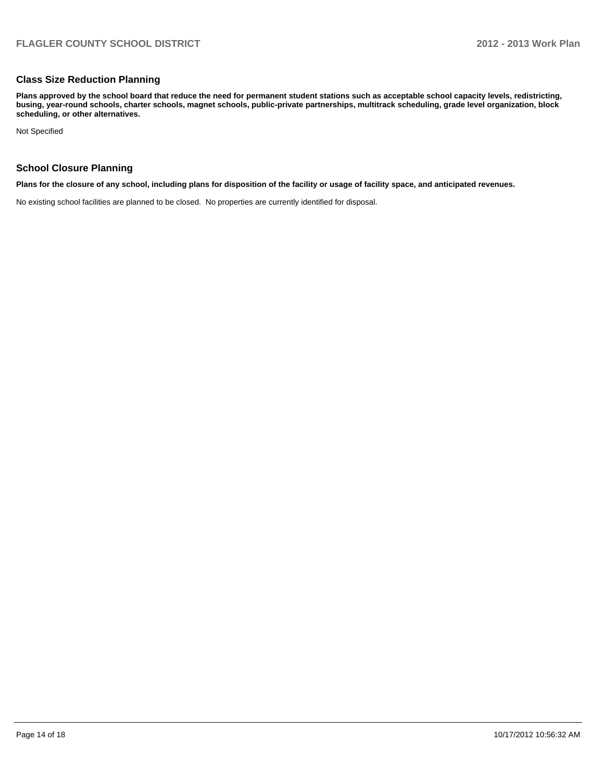#### **Class Size Reduction Planning**

**Plans approved by the school board that reduce the need for permanent student stations such as acceptable school capacity levels, redistricting, busing, year-round schools, charter schools, magnet schools, public-private partnerships, multitrack scheduling, grade level organization, block scheduling, or other alternatives.**

Not Specified

#### **School Closure Planning**

**Plans for the closure of any school, including plans for disposition of the facility or usage of facility space, and anticipated revenues.**

No existing school facilities are planned to be closed. No properties are currently identified for disposal.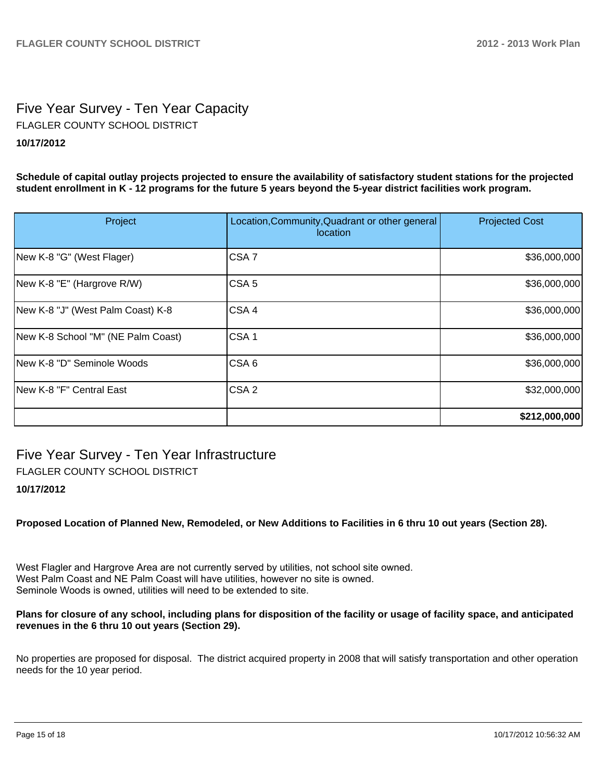# Five Year Survey - Ten Year Capacity **10/17/2012** FLAGLER COUNTY SCHOOL DISTRICT

**Schedule of capital outlay projects projected to ensure the availability of satisfactory student stations for the projected student enrollment in K - 12 programs for the future 5 years beyond the 5-year district facilities work program.**

| Project                            | Location, Community, Quadrant or other general<br>location | <b>Projected Cost</b> |
|------------------------------------|------------------------------------------------------------|-----------------------|
| New K-8 "G" (West Flager)          | CSA <sub>7</sub>                                           | \$36,000,000          |
| New K-8 "E" (Hargrove R/W)         | CSA <sub>5</sub>                                           | \$36,000,000          |
| New K-8 "J" (West Palm Coast) K-8  | CSA4                                                       | \$36,000,000          |
| New K-8 School "M" (NE Palm Coast) | CSA <sub>1</sub>                                           | \$36,000,000          |
| New K-8 "D" Seminole Woods         | CSA <sub>6</sub>                                           | \$36,000,000          |
| New K-8 "F" Central East           | CSA <sub>2</sub>                                           | \$32,000,000          |
|                                    |                                                            | \$212,000,000         |

# Five Year Survey - Ten Year Infrastructure

FLAGLER COUNTY SCHOOL DISTRICT

## **10/17/2012**

**Proposed Location of Planned New, Remodeled, or New Additions to Facilities in 6 thru 10 out years (Section 28).**

West Flagler and Hargrove Area are not currently served by utilities, not school site owned. West Palm Coast and NE Palm Coast will have utilities, however no site is owned. Seminole Woods is owned, utilities will need to be extended to site.

#### **Plans for closure of any school, including plans for disposition of the facility or usage of facility space, and anticipated revenues in the 6 thru 10 out years (Section 29).**

No properties are proposed for disposal. The district acquired property in 2008 that will satisfy transportation and other operation needs for the 10 year period.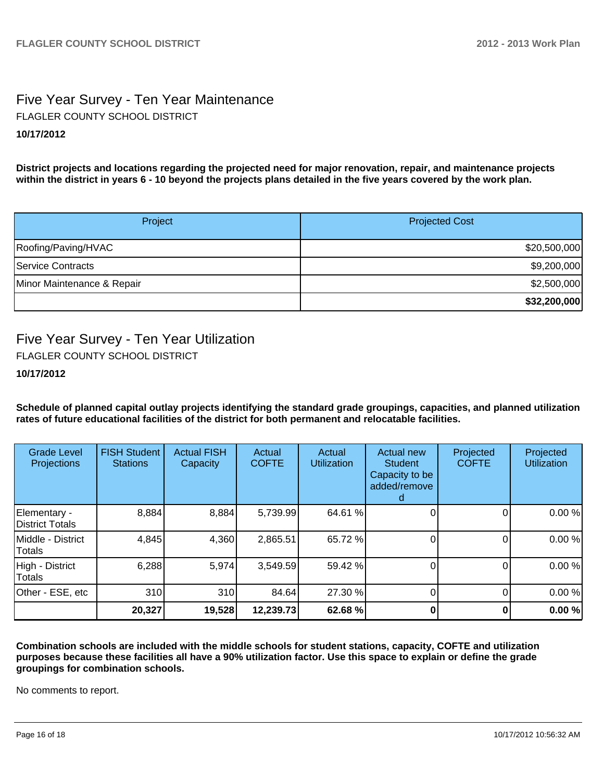# Five Year Survey - Ten Year Maintenance **10/17/2012** FLAGLER COUNTY SCHOOL DISTRICT

**District projects and locations regarding the projected need for major renovation, repair, and maintenance projects within the district in years 6 - 10 beyond the projects plans detailed in the five years covered by the work plan.**

| Project                    | <b>Projected Cost</b> |
|----------------------------|-----------------------|
| Roofing/Paving/HVAC        | \$20,500,000          |
| Service Contracts          | \$9,200,000           |
| Minor Maintenance & Repair | \$2,500,000           |
|                            | \$32,200,000          |

# Five Year Survey - Ten Year Utilization

FLAGLER COUNTY SCHOOL DISTRICT

**10/17/2012**

**Schedule of planned capital outlay projects identifying the standard grade groupings, capacities, and planned utilization rates of future educational facilities of the district for both permanent and relocatable facilities.**

| <b>Grade Level</b><br>Projections  | <b>FISH Student</b><br><b>Stations</b> | <b>Actual FISH</b><br>Capacity | Actual<br><b>COFTE</b> | Actual<br><b>Utilization</b> | <b>Actual new</b><br><b>Student</b><br>Capacity to be<br>added/remove | Projected<br><b>COFTE</b> | Projected<br><b>Utilization</b> |
|------------------------------------|----------------------------------------|--------------------------------|------------------------|------------------------------|-----------------------------------------------------------------------|---------------------------|---------------------------------|
| Elementary -<br>District Totals    | 8,884                                  | 8,884                          | 5,739.99               | 64.61 %                      |                                                                       |                           | 0.00%                           |
| Middle - District<br><b>Totals</b> | 4,845                                  | 4,360                          | 2,865.51               | 65.72 %                      |                                                                       |                           | 0.00%                           |
| High - District<br>Totals          | 6,288                                  | 5,974                          | 3,549.59               | 59.42 %                      |                                                                       | 0                         | 0.00%                           |
| Other - ESE, etc                   | 310                                    | 310                            | 84.64                  | 27.30 %                      |                                                                       |                           | 0.00%                           |
|                                    | 20,327                                 | 19,528                         | 12,239.73              | 62.68 %                      |                                                                       |                           | 0.00%                           |

**Combination schools are included with the middle schools for student stations, capacity, COFTE and utilization purposes because these facilities all have a 90% utilization factor. Use this space to explain or define the grade groupings for combination schools.**

No comments to report.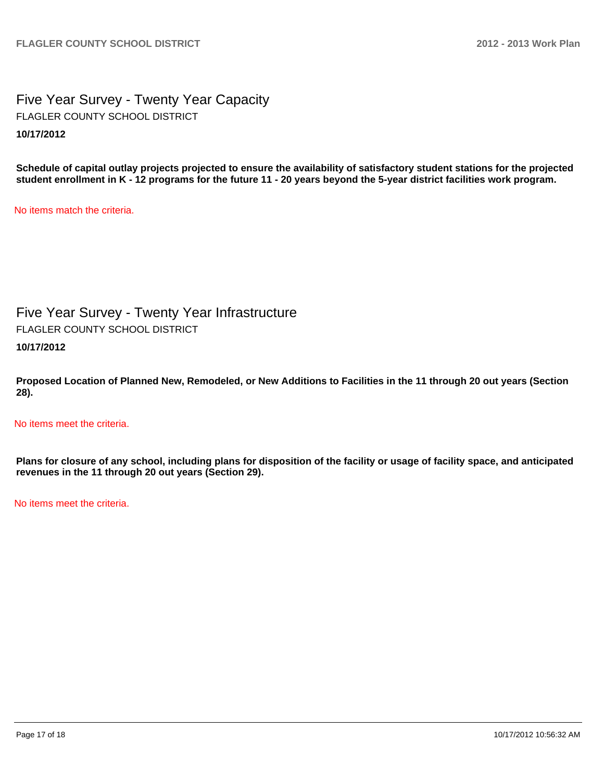Five Year Survey - Twenty Year Capacity **10/17/2012** FLAGLER COUNTY SCHOOL DISTRICT

**Schedule of capital outlay projects projected to ensure the availability of satisfactory student stations for the projected student enrollment in K - 12 programs for the future 11 - 20 years beyond the 5-year district facilities work program.**

No items match the criteria.

Five Year Survey - Twenty Year Infrastructure **10/17/2012** FLAGLER COUNTY SCHOOL DISTRICT

**Proposed Location of Planned New, Remodeled, or New Additions to Facilities in the 11 through 20 out years (Section 28).**

No items meet the criteria.

**Plans for closure of any school, including plans for disposition of the facility or usage of facility space, and anticipated revenues in the 11 through 20 out years (Section 29).**

No items meet the criteria.